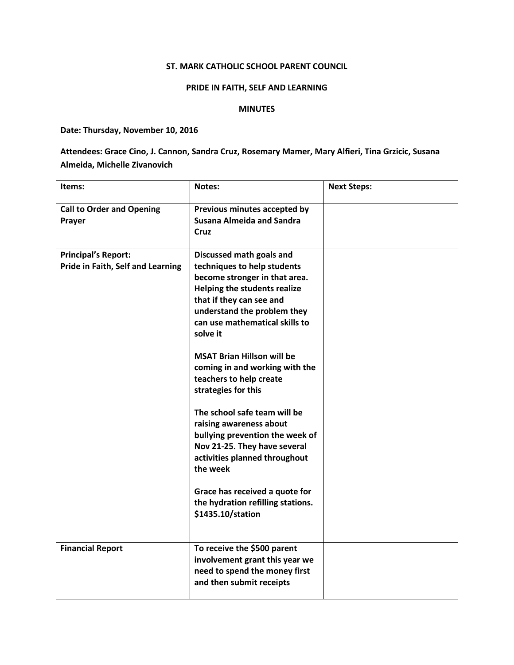## ST. MARK CATHOLIC SCHOOL PARENT COUNCIL

## PRIDE IN FAITH, SELF AND LEARNING

## MINUTES

Date: Thursday, November 10, 2016

Attendees: Grace Cino, J. Cannon, Sandra Cruz, Rosemary Mamer, Mary Alfieri, Tina Grzicic, Susana Almeida, Michelle Zivanovich

| Items:                                                          | Notes:                                                                                                                                                                                                                                                                                                                                                                                                                                                                                                                                                                                                                            | <b>Next Steps:</b> |
|-----------------------------------------------------------------|-----------------------------------------------------------------------------------------------------------------------------------------------------------------------------------------------------------------------------------------------------------------------------------------------------------------------------------------------------------------------------------------------------------------------------------------------------------------------------------------------------------------------------------------------------------------------------------------------------------------------------------|--------------------|
| <b>Call to Order and Opening</b><br>Prayer                      | Previous minutes accepted by<br><b>Susana Almeida and Sandra</b><br>Cruz                                                                                                                                                                                                                                                                                                                                                                                                                                                                                                                                                          |                    |
| <b>Principal's Report:</b><br>Pride in Faith, Self and Learning | Discussed math goals and<br>techniques to help students<br>become stronger in that area.<br>Helping the students realize<br>that if they can see and<br>understand the problem they<br>can use mathematical skills to<br>solve it<br><b>MSAT Brian Hillson will be</b><br>coming in and working with the<br>teachers to help create<br>strategies for this<br>The school safe team will be<br>raising awareness about<br>bullying prevention the week of<br>Nov 21-25. They have several<br>activities planned throughout<br>the week<br>Grace has received a quote for<br>the hydration refilling stations.<br>\$1435.10/station |                    |
|                                                                 |                                                                                                                                                                                                                                                                                                                                                                                                                                                                                                                                                                                                                                   |                    |
| <b>Financial Report</b>                                         | To receive the \$500 parent<br>involvement grant this year we<br>need to spend the money first<br>and then submit receipts                                                                                                                                                                                                                                                                                                                                                                                                                                                                                                        |                    |